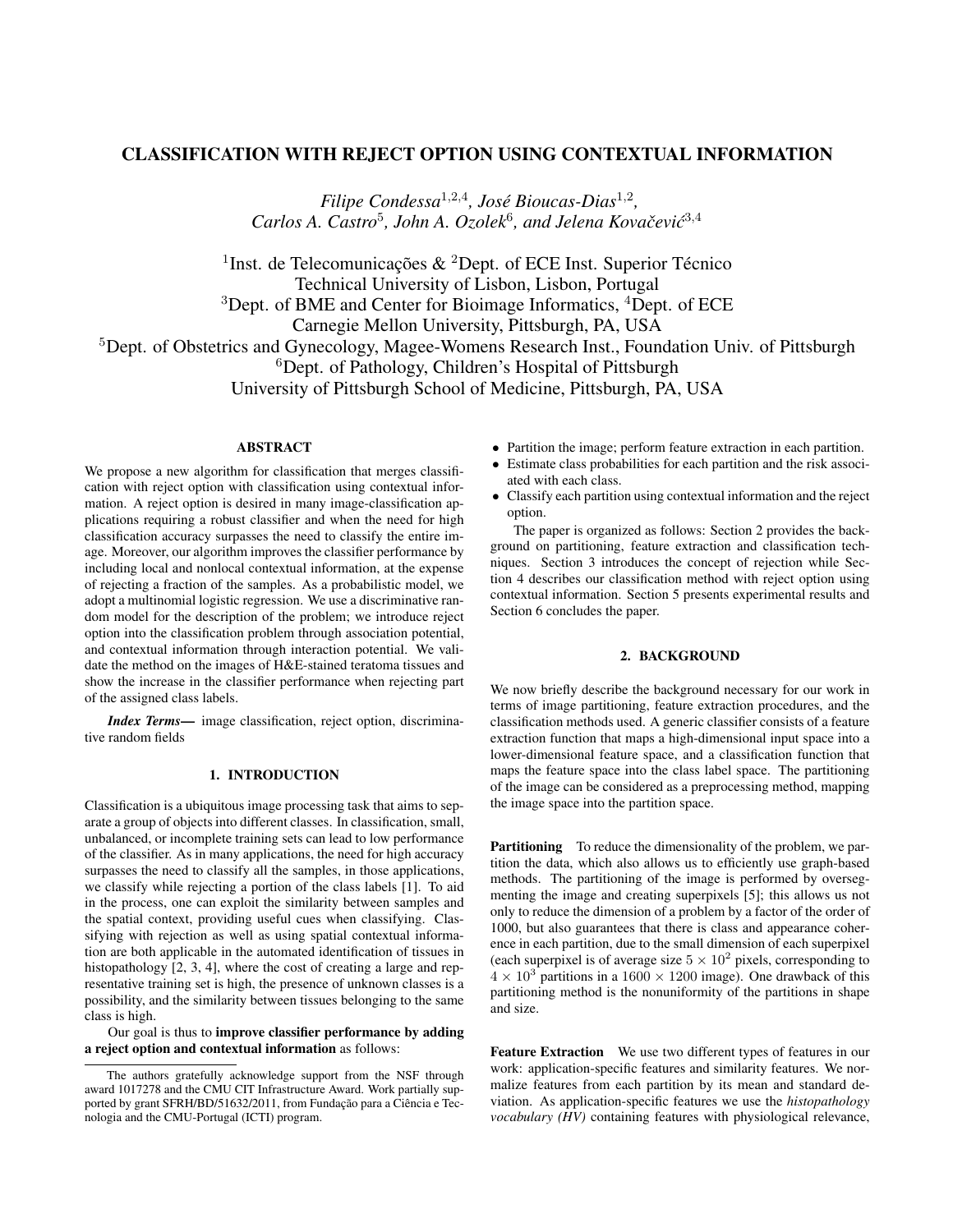# CLASSIFICATION WITH REJECT OPTION USING CONTEXTUAL INFORMATION

*Filipe Condessa*<sup>1,2,4</sup>, José Bioucas-Dias<sup>1,2</sup>, Carlos A. Castro<sup>5</sup>, John A. Ozolek<sup>6</sup>, and Jelena Kovačević<sup>3,4</sup>

<sup>1</sup>Inst. de Telecomunicações & <sup>2</sup>Dept. of ECE Inst. Superior Técnico Technical University of Lisbon, Lisbon, Portugal <sup>3</sup>Dept. of BME and Center for Bioimage Informatics, <sup>4</sup>Dept. of ECE Carnegie Mellon University, Pittsburgh, PA, USA  $5$ Dept. of Obstetrics and Gynecology, Magee-Womens Research Inst., Foundation Univ. of Pittsburgh  ${}^{6}$ Dept. of Pathology, Children's Hospital of Pittsburgh University of Pittsburgh School of Medicine, Pittsburgh, PA, USA

# ABSTRACT

We propose a new algorithm for classification that merges classification with reject option with classification using contextual information. A reject option is desired in many image-classification applications requiring a robust classifier and when the need for high classification accuracy surpasses the need to classify the entire image. Moreover, our algorithm improves the classifier performance by including local and nonlocal contextual information, at the expense of rejecting a fraction of the samples. As a probabilistic model, we adopt a multinomial logistic regression. We use a discriminative random model for the description of the problem; we introduce reject option into the classification problem through association potential, and contextual information through interaction potential. We validate the method on the images of H&E-stained teratoma tissues and show the increase in the classifier performance when rejecting part of the assigned class labels.

*Index Terms—* image classification, reject option, discriminative random fields

# 1. INTRODUCTION

Classification is a ubiquitous image processing task that aims to separate a group of objects into different classes. In classification, small, unbalanced, or incomplete training sets can lead to low performance of the classifier. As in many applications, the need for high accuracy surpasses the need to classify all the samples, in those applications, we classify while rejecting a portion of the class labels [1]. To aid in the process, one can exploit the similarity between samples and the spatial context, providing useful cues when classifying. Classifying with rejection as well as using spatial contextual information are both applicable in the automated identification of tissues in histopathology [2, 3, 4], where the cost of creating a large and representative training set is high, the presence of unknown classes is a possibility, and the similarity between tissues belonging to the same class is high.

Our goal is thus to improve classifier performance by adding a reject option and contextual information as follows:

- Partition the image; perform feature extraction in each partition.
- Estimate class probabilities for each partition and the risk associated with each class.
- Classify each partition using contextual information and the reject option.

The paper is organized as follows: Section 2 provides the background on partitioning, feature extraction and classification techniques. Section 3 introduces the concept of rejection while Section 4 describes our classification method with reject option using contextual information. Section 5 presents experimental results and Section 6 concludes the paper.

## 2. BACKGROUND

We now briefly describe the background necessary for our work in terms of image partitioning, feature extraction procedures, and the classification methods used. A generic classifier consists of a feature extraction function that maps a high-dimensional input space into a lower-dimensional feature space, and a classification function that maps the feature space into the class label space. The partitioning of the image can be considered as a preprocessing method, mapping the image space into the partition space.

Partitioning To reduce the dimensionality of the problem, we partition the data, which also allows us to efficiently use graph-based methods. The partitioning of the image is performed by oversegmenting the image and creating superpixels [5]; this allows us not only to reduce the dimension of a problem by a factor of the order of 1000, but also guarantees that there is class and appearance coherence in each partition, due to the small dimension of each superpixel (each superpixel is of average size  $5 \times 10^2$  pixels, corresponding to  $4 \times 10^3$  partitions in a 1600  $\times$  1200 image). One drawback of this partitioning method is the nonuniformity of the partitions in shape and size.

Feature Extraction We use two different types of features in our work: application-specific features and similarity features. We normalize features from each partition by its mean and standard deviation. As application-specific features we use the *histopathology vocabulary (HV)* containing features with physiological relevance,

The authors gratefully acknowledge support from the NSF through award 1017278 and the CMU CIT Infrastructure Award. Work partially supported by grant SFRH/BD/51632/2011, from Fundação para a Ciência e Tecnologia and the CMU-Portugal (ICTI) program.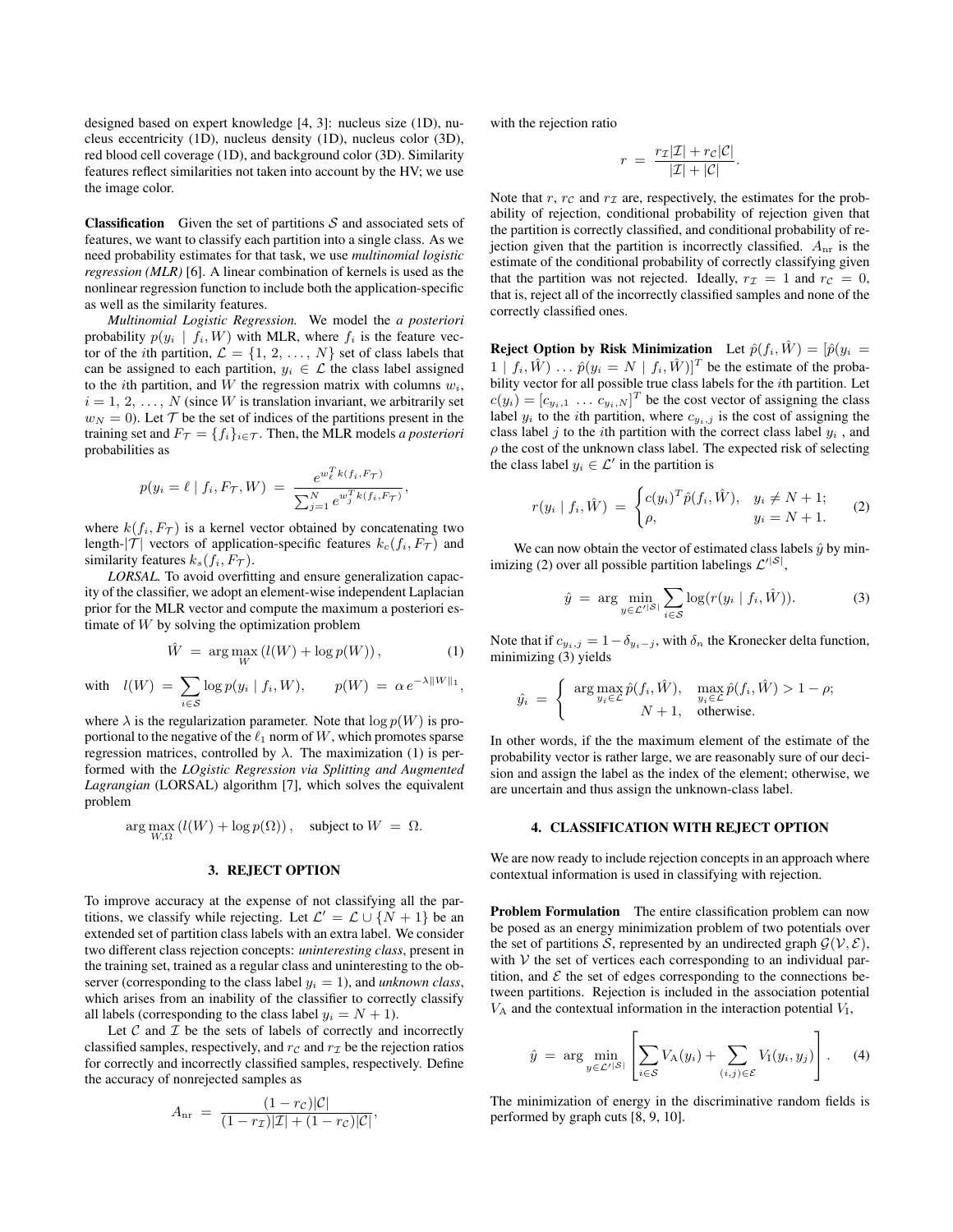designed based on expert knowledge [4, 3]: nucleus size (1D), nucleus eccentricity (1D), nucleus density (1D), nucleus color (3D), red blood cell coverage (1D), and background color (3D). Similarity features reflect similarities not taken into account by the HV; we use the image color.

**Classification** Given the set of partitions  $S$  and associated sets of features, we want to classify each partition into a single class. As we need probability estimates for that task, we use *multinomial logistic regression (MLR)* [6]. A linear combination of kernels is used as the nonlinear regression function to include both the application-specific as well as the similarity features.

*Multinomial Logistic Regression.* We model the *a posteriori* probability  $p(y_i | f_i, W)$  with MLR, where  $f_i$  is the feature vector of the *i*th partition,  $\mathcal{L} = \{1, 2, ..., N\}$  set of class labels that can be assigned to each partition,  $y_i \in \mathcal{L}$  the class label assigned to the *i*th partition, and W the regression matrix with columns  $w_i$ ,  $i = 1, 2, \ldots, N$  (since W is translation invariant, we arbitrarily set  $w_N = 0$ ). Let T be the set of indices of the partitions present in the training set and  $F_{\mathcal{T}} = \{f_i\}_{i \in \mathcal{T}}$ . Then, the MLR models *a posteriori* probabilities as

$$
p(y_i = \ell \mid f_i, F_{\mathcal{T}}, W) = \frac{e^{w_i^T k(f_i, F_{\mathcal{T}})}}{\sum_{j=1}^N e^{w_j^T k(f_i, F_{\mathcal{T}})}},
$$

where  $k(f_i, F_{\mathcal{T}})$  is a kernel vector obtained by concatenating two length- $|\mathcal{T}|$  vectors of application-specific features  $k_c(f_i, F_{\mathcal{T}})$  and similarity features  $k_s(f_i, F_{\mathcal{T}})$ .

*LORSAL.* To avoid overfitting and ensure generalization capacity of the classifier, we adopt an element-wise independent Laplacian prior for the MLR vector and compute the maximum a posteriori estimate of W by solving the optimization problem

$$
\hat{W} = \arg\max_{W} \left( l(W) + \log p(W) \right),\tag{1}
$$

with  $l(W) = \sum$ i∈S  $\log p(y_i | f_i, W), \quad p(W) = \alpha e^{-\lambda ||W||_1},$ 

where  $\lambda$  is the regularization parameter. Note that  $\log p(W)$  is proportional to the negative of the  $\ell_1$  norm of W, which promotes sparse regression matrices, controlled by  $\lambda$ . The maximization (1) is performed with the *LOgistic Regression via Splitting and Augmented Lagrangian* (LORSAL) algorithm [7], which solves the equivalent problem

$$
\arg\max_{W,\Omega} \left( l(W) + \log p(\Omega) \right), \quad \text{subject to } W = \Omega.
$$

## 3. REJECT OPTION

To improve accuracy at the expense of not classifying all the partitions, we classify while rejecting. Let  $\mathcal{L}' = \mathcal{L} \cup \{N+1\}$  be an extended set of partition class labels with an extra label. We consider two different class rejection concepts: *uninteresting class*, present in the training set, trained as a regular class and uninteresting to the observer (corresponding to the class label  $y_i = 1$ ), and *unknown class*, which arises from an inability of the classifier to correctly classify all labels (corresponding to the class label  $y_i = N + 1$ ).

Let  $\mathcal C$  and  $\mathcal I$  be the sets of labels of correctly and incorrectly classified samples, respectively, and  $r_c$  and  $r<sub>T</sub>$  be the rejection ratios for correctly and incorrectly classified samples, respectively. Define the accuracy of nonrejected samples as

$$
A_{\rm nr} = \frac{(1 - r_c)|C|}{(1 - r_x)|\mathcal{I}| + (1 - r_c)|C|},
$$

with the rejection ratio

$$
r = \frac{r_{\mathcal{I}}|\mathcal{I}| + r_{\mathcal{C}}|\mathcal{C}|}{|\mathcal{I}| + |\mathcal{C}|}.
$$

Note that r,  $r_c$  and  $r<sub>T</sub>$  are, respectively, the estimates for the probability of rejection, conditional probability of rejection given that the partition is correctly classified, and conditional probability of rejection given that the partition is incorrectly classified.  $A_{nr}$  is the estimate of the conditional probability of correctly classifying given that the partition was not rejected. Ideally,  $r<sub>I</sub> = 1$  and  $r<sub>C</sub> = 0$ , that is, reject all of the incorrectly classified samples and none of the correctly classified ones.

Reject Option by Risk Minimization Let  $\hat{p}(f_i, \hat{W}) = [\hat{p}(y_i =$  $1 | f_i, \hat{W}$  ...  $\hat{p}(y_i = N | f_i, \hat{W})]^T$  be the estimate of the probability vector for all possible true class labels for the *i*th partition. Let  $c(y_i) = [c_{y_i,1} \dots c_{y_i,N}]^T$  be the cost vector of assigning the class label  $y_i$  to the *i*th partition, where  $c_{y_i,j}$  is the cost of assigning the class label  $j$  to the *i*th partition with the correct class label  $y_i$ , and  $\rho$  the cost of the unknown class label. The expected risk of selecting the class label  $y_i \in \mathcal{L}'$  in the partition is

$$
r(y_i | f_i, \hat{W}) = \begin{cases} c(y_i)^T \hat{p}(f_i, \hat{W}), & y_i \neq N+1; \\ \rho, & y_i = N+1. \end{cases}
$$
 (2)

We can now obtain the vector of estimated class labels  $\hat{y}$  by minimizing (2) over all possible partition labelings  $\mathcal{L}'^{|\mathcal{S}|}$ ,

$$
\hat{y} = \arg \min_{y \in \mathcal{L}'^{\vert \mathcal{S} \vert}} \sum_{i \in \mathcal{S}} \log(r(y_i \mid f_i, \hat{W})). \tag{3}
$$

Note that if  $c_{y_i,j} = 1 - \delta_{y_i-j}$ , with  $\delta_n$  the Kronecker delta function, minimizing (3) yields

$$
\hat{y}_i = \begin{cases}\n\arg \max_{y_i \in \mathcal{L}} \hat{p}(f_i, \hat{W}), & \max_{y_i \in \mathcal{L}} \hat{p}(f_i, \hat{W}) > 1 - \rho; \\
N + 1, & \text{otherwise.} \n\end{cases}
$$

In other words, if the the maximum element of the estimate of the probability vector is rather large, we are reasonably sure of our decision and assign the label as the index of the element; otherwise, we are uncertain and thus assign the unknown-class label.

#### 4. CLASSIFICATION WITH REJECT OPTION

We are now ready to include rejection concepts in an approach where contextual information is used in classifying with rejection.

Problem Formulation The entire classification problem can now be posed as an energy minimization problem of two potentials over the set of partitions S, represented by an undirected graph  $\mathcal{G}(\mathcal{V}, \mathcal{E})$ , with  $V$  the set of vertices each corresponding to an individual partition, and  $\mathcal E$  the set of edges corresponding to the connections between partitions. Rejection is included in the association potential  $V_A$  and the contextual information in the interaction potential  $V_I$ ,

$$
\hat{y} = \arg \min_{y \in \mathcal{L}^{\prime} |S|} \left[ \sum_{i \in S} V_{A}(y_{i}) + \sum_{(i,j) \in \mathcal{E}} V_{I}(y_{i}, y_{j}) \right]. \tag{4}
$$

The minimization of energy in the discriminative random fields is performed by graph cuts [8, 9, 10].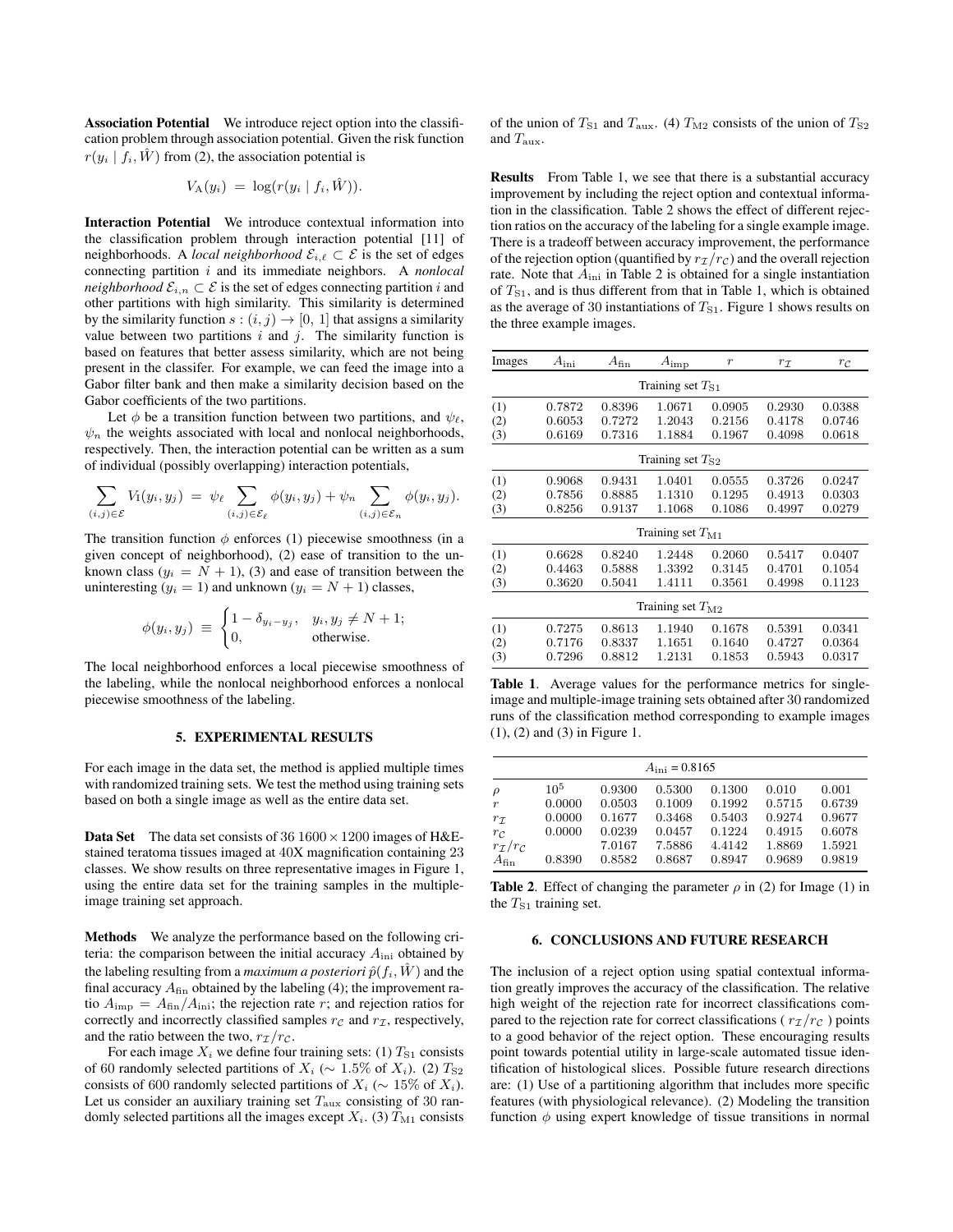Association Potential We introduce reject option into the classification problem through association potential. Given the risk function  $r(y_i | f_i, \hat{W})$  from (2), the association potential is

$$
V_{\mathcal{A}}(y_i) = \log(r(y_i \mid f_i, \hat{W})).
$$

Interaction Potential We introduce contextual information into the classification problem through interaction potential [11] of neighborhoods. A *local neighborhood*  $\mathcal{E}_{i,\ell} \subset \mathcal{E}$  is the set of edges connecting partition i and its immediate neighbors. A *nonlocal neighborhood*  $\mathcal{E}_{i,n} \subset \mathcal{E}$  is the set of edges connecting partition i and other partitions with high similarity. This similarity is determined by the similarity function  $s : (i, j) \rightarrow [0, 1]$  that assigns a similarity value between two partitions  $i$  and  $j$ . The similarity function is based on features that better assess similarity, which are not being present in the classifer. For example, we can feed the image into a Gabor filter bank and then make a similarity decision based on the Gabor coefficients of the two partitions.

Let  $\phi$  be a transition function between two partitions, and  $\psi_{\ell}$ ,  $\psi_n$  the weights associated with local and nonlocal neighborhoods, respectively. Then, the interaction potential can be written as a sum of individual (possibly overlapping) interaction potentials,

$$
\sum_{(i,j)\in\mathcal{E}}V_1(y_i,y_j) = \psi_\ell \sum_{(i,j)\in\mathcal{E}_\ell} \phi(y_i,y_j) + \psi_n \sum_{(i,j)\in\mathcal{E}_n} \phi(y_i,y_j).
$$

The transition function  $\phi$  enforces (1) piecewise smoothness (in a given concept of neighborhood), (2) ease of transition to the unknown class  $(y_i = N + 1)$ , (3) and ease of transition between the uninteresting  $(y_i = 1)$  and unknown  $(y_i = N + 1)$  classes,

$$
\phi(y_i, y_j) \equiv \begin{cases} 1 - \delta_{y_i - y_j}, & y_i, y_j \neq N + 1; \\ 0, & \text{otherwise.} \end{cases}
$$

The local neighborhood enforces a local piecewise smoothness of the labeling, while the nonlocal neighborhood enforces a nonlocal piecewise smoothness of the labeling.

## 5. EXPERIMENTAL RESULTS

For each image in the data set, the method is applied multiple times with randomized training sets. We test the method using training sets based on both a single image as well as the entire data set.

**Data Set** The data set consists of  $36\,1600 \times 1200$  images of H&Estained teratoma tissues imaged at 40X magnification containing 23 classes. We show results on three representative images in Figure 1, using the entire data set for the training samples in the multipleimage training set approach.

Methods We analyze the performance based on the following criteria: the comparison between the initial accuracy  $A_{\text{ini}}$  obtained by the labeling resulting from a *maximum a posteriori*  $\hat{p}(f_i, \hat{W})$  and the final accuracy  $A<sub>fin</sub>$  obtained by the labeling (4); the improvement ratio  $A_{\text{imp}} = A_{\text{fin}}/A_{\text{ini}}$ ; the rejection rate r; and rejection ratios for correctly and incorrectly classified samples  $r_c$  and  $r<sub>\mathcal{I}</sub>$ , respectively, and the ratio between the two,  $r_{\rm L}/r_{\rm C}$ .

For each image  $X_i$  we define four training sets: (1)  $T_{S1}$  consists of 60 randomly selected partitions of  $X_i$  ( $\sim 1.5\%$  of  $X_i$ ). (2)  $T_{S2}$ consists of 600 randomly selected partitions of  $X_i$  ( $\sim 15\%$  of  $X_i$ ). Let us consider an auxiliary training set  $T_{\text{aux}}$  consisting of 30 randomly selected partitions all the images except  $X_i$ . (3)  $T_{\rm M1}$  consists of the union of  $T_{S1}$  and  $T_{\text{aux}}$ . (4)  $T_{\text{M2}}$  consists of the union of  $T_{S2}$ and  $T_{\text{aux}}$ .

Results From Table 1, we see that there is a substantial accuracy improvement by including the reject option and contextual information in the classification. Table 2 shows the effect of different rejection ratios on the accuracy of the labeling for a single example image. There is a tradeoff between accuracy improvement, the performance of the rejection option (quantified by  $r<sub>\mathcal{I}</sub> /r<sub>C</sub>$ ) and the overall rejection rate. Note that  $A_{\text{ini}}$  in Table 2 is obtained for a single instantiation of  $T_{S1}$ , and is thus different from that in Table 1, which is obtained as the average of 30 instantiations of  $T_{S1}$ . Figure 1 shows results on the three example images.

| Images                    | $A_{\rm ini}$ | $A_{\rm fin}$ | $A_{\text{imp}}$ | $\boldsymbol{r}$ | $r_{\mathcal{I}}$ | $r_{\mathcal{C}}$ |  |  |  |  |
|---------------------------|---------------|---------------|------------------|------------------|-------------------|-------------------|--|--|--|--|
| Training set $T_{S1}$     |               |               |                  |                  |                   |                   |  |  |  |  |
| (1)                       | 0.7872        | 0.8396        | 1.0671           | 0.0905           | 0.2930            | 0.0388            |  |  |  |  |
| (2)                       | 0.6053        | 0.7272        | 1.2043           | 0.2156           | 0.4178            | 0.0746            |  |  |  |  |
| (3)                       | 0.6169        | 0.7316        | 1.1884           | 0.1967           | 0.4098            | 0.0618            |  |  |  |  |
| Training set $T_{S2}$     |               |               |                  |                  |                   |                   |  |  |  |  |
| (1)                       | 0.9068        | 0.9431        | 1.0401           | 0.0555           | 0.3726            | 0.0247            |  |  |  |  |
| (2)                       | 0.7856        | 0.8885        | 1.1310           | 0.1295           | 0.4913            | 0.0303            |  |  |  |  |
| (3)                       | 0.8256        | 0.9137        | 1.1068           | 0.1086           | 0.4997            | 0.0279            |  |  |  |  |
| Training set $T_{\rm M1}$ |               |               |                  |                  |                   |                   |  |  |  |  |
| (1)                       | 0.6628        | 0.8240        | 1.2448           | 0.2060           | 0.5417            | 0.0407            |  |  |  |  |
| (2)                       | 0.4463        | 0.5888        | 1.3392           | 0.3145           | 0.4701            | 0.1054            |  |  |  |  |
| (3)                       | 0.3620        | 0.5041        | 1.4111           | 0.3561           | 0.4998            | 0.1123            |  |  |  |  |
| Training set $T_{\rm M2}$ |               |               |                  |                  |                   |                   |  |  |  |  |
| (1)                       | 0.7275        | 0.8613        | 1.1940           | 0.1678           | 0.5391            | 0.0341            |  |  |  |  |
| (2)                       | 0.7176        | 0.8337        | 1.1651           | 0.1640           | 0.4727            | 0.0364            |  |  |  |  |
| (3)                       | 0.7296        | 0.8812        | 1.2131           | 0.1853           | 0.5943            | 0.0317            |  |  |  |  |

Table 1. Average values for the performance metrics for singleimage and multiple-image training sets obtained after 30 randomized runs of the classification method corresponding to example images (1), (2) and (3) in Figure 1.

| $A_{\rm ini} = 0.8165$            |          |        |        |        |        |        |  |  |  |  |
|-----------------------------------|----------|--------|--------|--------|--------|--------|--|--|--|--|
| $\rho$                            | $10^{5}$ | 0.9300 | 0.5300 | 0.1300 | 0.010  | 0.001  |  |  |  |  |
| $\boldsymbol{r}$                  | 0.0000   | 0.0503 | 0.1009 | 0.1992 | 0.5715 | 0.6739 |  |  |  |  |
| $r_{\tau}$                        | 0.0000   | 0.1677 | 0.3468 | 0.5403 | 0.9274 | 0.9677 |  |  |  |  |
| $r_{\mathcal{C}}$                 | 0.0000   | 0.0239 | 0.0457 | 0.1224 | 0.4915 | 0.6078 |  |  |  |  |
| $r_{\mathcal{I}}/r_{\mathcal{C}}$ |          | 7.0167 | 7.5886 | 4.4142 | 1.8869 | 1.5921 |  |  |  |  |
| $A_{fin}$                         | 0.8390   | 0.8582 | 0.8687 | 0.8947 | 0.9689 | 0.9819 |  |  |  |  |

**Table 2.** Effect of changing the parameter  $\rho$  in (2) for Image (1) in the  $T_{S1}$  training set.

#### 6. CONCLUSIONS AND FUTURE RESEARCH

The inclusion of a reject option using spatial contextual information greatly improves the accuracy of the classification. The relative high weight of the rejection rate for incorrect classifications compared to the rejection rate for correct classifications ( $r_{\mathcal{I}}/r_{\mathcal{C}}$ ) points to a good behavior of the reject option. These encouraging results point towards potential utility in large-scale automated tissue identification of histological slices. Possible future research directions are: (1) Use of a partitioning algorithm that includes more specific features (with physiological relevance). (2) Modeling the transition function  $\phi$  using expert knowledge of tissue transitions in normal